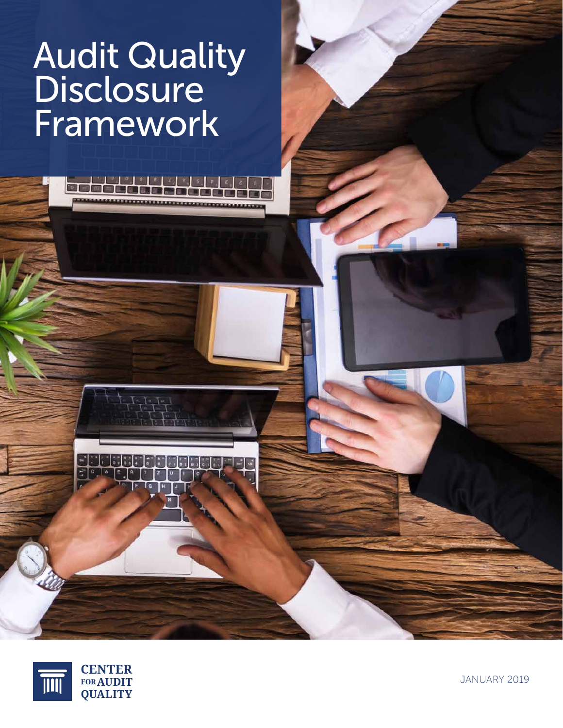# Audit Quality **Disclosure** Framework



JANUARY 2019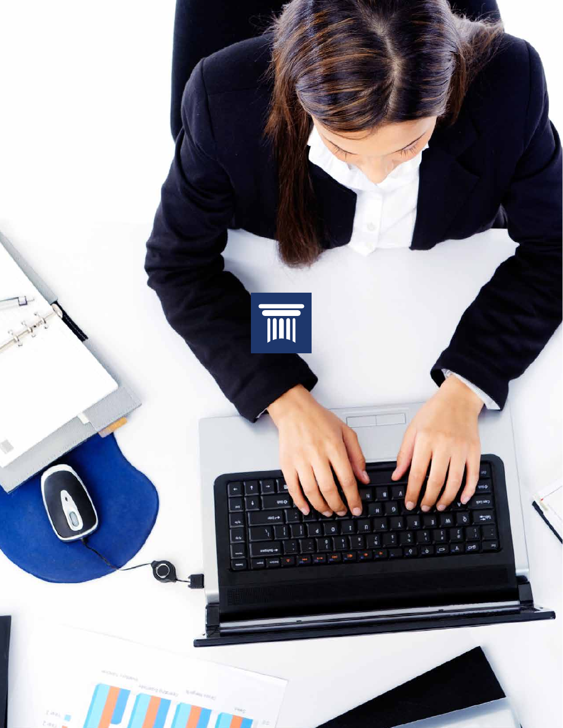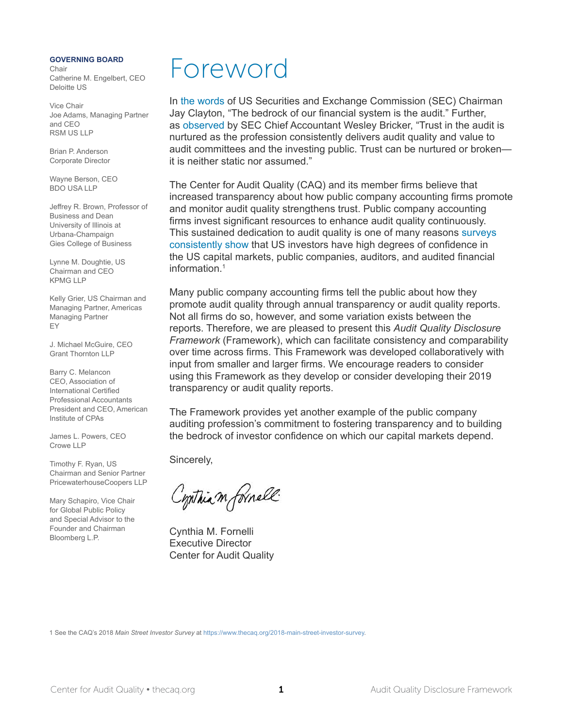#### **GOVERNING BOARD**

Chair

Catherine M. Engelbert, CEO Deloitte US

Vice Chair Joe Adams, Managing Partner and CEO RSM US LLP

Brian P. Anderson Corporate Director

Wayne Berson, CEO BDO USA LLP

Jeffrey R. Brown, Professor of Business and Dean University of Illinois at Urbana-Champaign Gies College of Business

Lynne M. Doughtie, US Chairman and CEO KPMG LLP

Kelly Grier, US Chairman and Managing Partner, Americas Managing Partner EY

J. Michael McGuire, CEO Grant Thornton LLP

Barry C. Melancon CEO, Association of International Certified Professional Accountants President and CEO, American Institute of CPAs

James L. Powers, CEO Crowe LLP

Timothy F. Ryan, US Chairman and Senior Partner PricewaterhouseCoopers LLP

Mary Schapiro, Vice Chair for Global Public Policy and Special Advisor to the Founder and Chairman Bloomberg L.P.



In [the words](https://www.brookings.edu/wp-content/uploads/2017/10/es_20170928_securities_clayton_transcript.pdf) of US Securities and Exchange Commission (SEC) Chairman Jay Clayton, "The bedrock of our financial system is the audit." Further, as [observed](https://www.sec.gov/news/speech/speech-bricker-060618) by SEC Chief Accountant Wesley Bricker, "Trust in the audit is nurtured as the profession consistently delivers audit quality and value to audit committees and the investing public. Trust can be nurtured or broken it is neither static nor assumed."

The Center for Audit Quality (CAQ) and its member firms believe that increased transparency about how public company accounting firms promote and monitor audit quality strengthens trust. Public company accounting firms invest significant resources to enhance audit quality continuously. This sustained dedication to audit quality is one of many reasons [surveys](https://www.thecaq.org/2018-main-street-investor-survey)  [consistently show](https://www.thecaq.org/2018-main-street-investor-survey) that US investors have high degrees of confidence in the US capital markets, public companies, auditors, and audited financial information.<sup>1</sup>

Many public company accounting firms tell the public about how they promote audit quality through annual transparency or audit quality reports. Not all firms do so, however, and some variation exists between the reports. Therefore, we are pleased to present this *Audit Quality Disclosure Framework* (Framework), which can facilitate consistency and comparability over time across firms. This Framework was developed collaboratively with input from smaller and larger firms. We encourage readers to consider using this Framework as they develop or consider developing their 2019 transparency or audit quality reports.

The Framework provides yet another example of the public company auditing profession's commitment to fostering transparency and to building the bedrock of investor confidence on which our capital markets depend.

Sincerely,

Cynthiam formell

Cynthia M. Fornelli Executive Director Center for Audit Quality

1 See the CAQ's 2018 *Main Street Investor Survey* at <https://www.thecaq.org/2018-main-street-investor-survey>.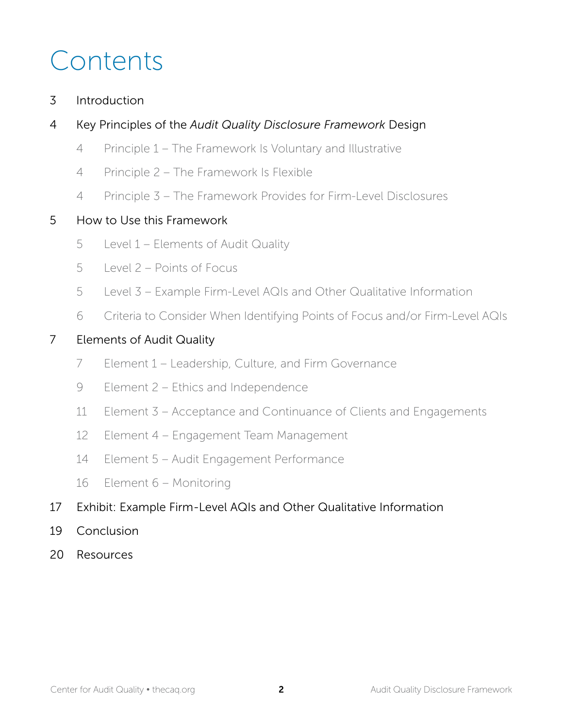# Contents

- [Introduction](#page-4-0)
- Key Principles of the *[Audit Quality Disclosure Framework](#page-5-0)* Design
	- [Principle 1 The Framework Is Voluntary and Illustrative](#page-5-0)
	- [Principle 2 The Framework Is Flexible](#page-5-0)
	- [Principle 3 The Framework Provides for Firm-Level Disclosures](#page-5-0)

### [How to Use this Framework](#page-6-0)

- [Level 1 Elements of Audit Quality](#page-6-0)
- [Level 2 Points of Focus](#page-6-0)
- [Level 3 Example Firm-Level AQIs and Other Qualitative Information](#page-6-0)
- [Criteria to Consider When Identifying Points of Focus and/or Firm-Level AQIs](#page-7-0)

### [Elements of Audit Quality](#page-8-0)

- [Element 1 Leadership, Culture, and Firm Governance](#page-8-0)
- [Element 2 Ethics and Independence](#page-10-0)
- [Element 3 Acceptance and Continuance of Clients and Engagements](#page-12-0)
- [Element 4 Engagement Team Management](#page-13-0)
- [Element 5 Audit Engagement Performance](#page-15-0)
- [Element 6 Monitoring](#page-17-0)
- [Exhibit: Example Firm-Level AQIs and Other Qualitative Information](#page-18-0)
- [Conclusion](#page-20-0)
- [Resources](#page-21-0)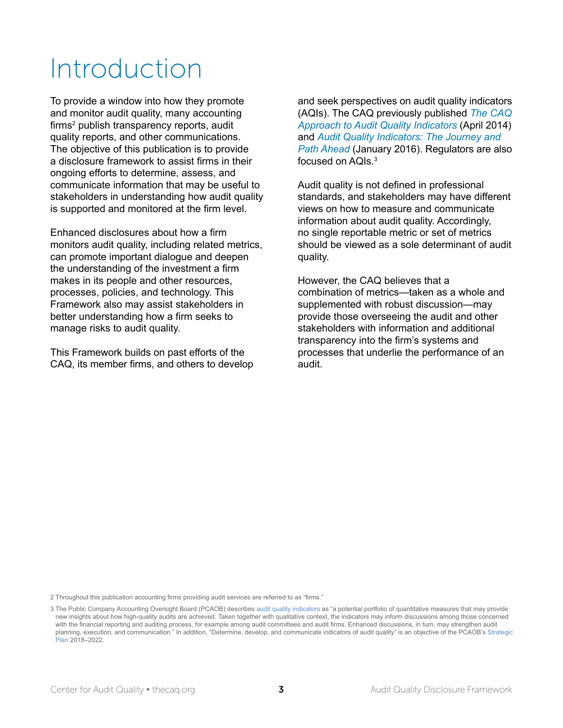## <span id="page-4-0"></span>Introduction

To provide a window into how they promote and monitor audit quality, many accounting firms<sup>2</sup> publish transparency reports, audit quality reports, and other communications. The objective of this publication is to provide a disclosure framework to assist firms in their ongoing efforts to determine, assess, and communicate information that may be useful to stakeholders in understanding how audit quality is supported and monitored at the firm level.

Enhanced disclosures about how a firm monitors audit quality, including related metrics, can promote important dialogue and deepen the understanding of the investment a firm makes in its people and other resources, processes, policies, and technology. This Framework also may assist stakeholders in better understanding how a firm seeks to manage risks to audit quality.

This Framework builds on past efforts of the CAQ, its member firms, and others to develop and seek perspectives on audit quality indicators (AQIs). The CAQ previously published *[The CAQ](https://www.thecaq.org/caq-approach-audit-quality-indicators)  [Approach to Audit Quality Indicators](https://www.thecaq.org/caq-approach-audit-quality-indicators)* (April 2014) and *[Audit Quality Indicators: The Journey and](https://www.thecaq.org/audit-quality-indicators-journey-and-path-ahead)  [Path Ahead](https://www.thecaq.org/audit-quality-indicators-journey-and-path-ahead)* (January 2016). Regulators are also focused on AQIs.<sup>3</sup>

Audit quality is not defined in professional standards, and stakeholders may have different views on how to measure and communicate information about audit quality. Accordingly, no single reportable metric or set of metrics should be viewed as a sole determinant of audit quality.

However, the CAQ believes that a combination of metrics—taken as a whole and supplemented with robust discussion—may provide those overseeing the audit and other stakeholders with information and additional transparency into the firm's systems and processes that underlie the performance of an audit.

2 Throughout this publication accounting firms providing audit services are referred to as "firms."

<sup>3</sup> The Public Company Accounting Oversight Board (PCAOB) describes [audit quality indicators](https://pcaobus.org/EconomicAndRiskAnalysis/ORA/Pages/AQI.aspx) as "a potential portfolio of quantitative measures that may provide new insights about how high-quality audits are achieved. Taken together with qualitative context, the indicators may inform discussions among those concerned with the financial reporting and auditing process, for example among audit committees and audit firms. Enhanced discussions, in turn, may strengthen audit planning, execution, and communication." In addition, "Determine, develop, and communicate indicators of audit quality" is an objective of the PCAOB's [Strategic](https://pcaobus.org/About/Administration/Documents/Strategic Plans/PCAOB-2018-2022-Strategic-Plan.pdf)  [Plan](https://pcaobus.org/About/Administration/Documents/Strategic Plans/PCAOB-2018-2022-Strategic-Plan.pdf) 2018–2022.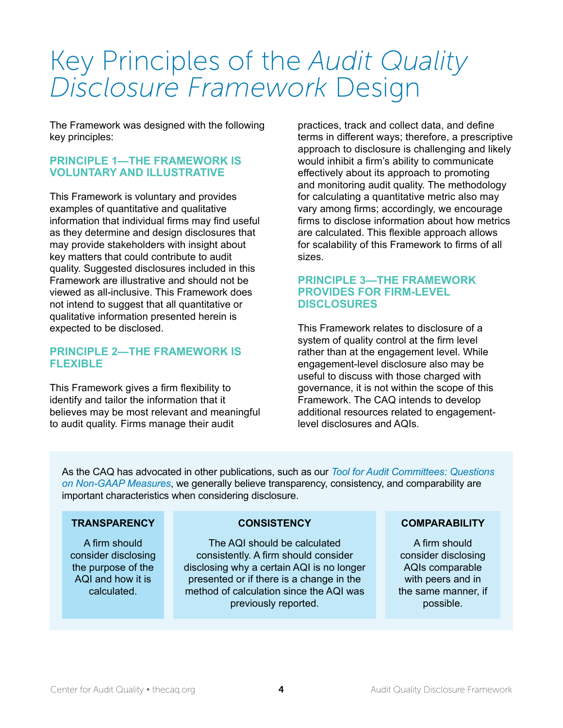## <span id="page-5-0"></span>Key Principles of the *Audit Quality Disclosure Framework* Design

The Framework was designed with the following key principles:

### **PRINCIPLE 1—THE FRAMEWORK IS VOLUNTARY AND ILLUSTRATIVE**

This Framework is voluntary and provides examples of quantitative and qualitative information that individual firms may find useful as they determine and design disclosures that may provide stakeholders with insight about key matters that could contribute to audit quality. Suggested disclosures included in this Framework are illustrative and should not be viewed as all-inclusive. This Framework does not intend to suggest that all quantitative or qualitative information presented herein is expected to be disclosed.

### **PRINCIPLE 2—THE FRAMEWORK IS FLEXIBLE**

This Framework gives a firm flexibility to identify and tailor the information that it believes may be most relevant and meaningful to audit quality. Firms manage their audit

practices, track and collect data, and define terms in different ways; therefore, a prescriptive approach to disclosure is challenging and likely would inhibit a firm's ability to communicate effectively about its approach to promoting and monitoring audit quality. The methodology for calculating a quantitative metric also may vary among firms; accordingly, we encourage firms to disclose information about how metrics are calculated. This flexible approach allows for scalability of this Framework to firms of all sizes.

### **PRINCIPLE 3—THE FRAMEWORK PROVIDES FOR FIRM-LEVEL DISCLOSURES**

This Framework relates to disclosure of a system of quality control at the firm level rather than at the engagement level. While engagement-level disclosure also may be useful to discuss with those charged with governance, it is not within the scope of this Framework. The CAQ intends to develop additional resources related to engagementlevel disclosures and AQIs.

As the CAQ has advocated in other publications, such as our *[Tool for Audit Committees: Questions](https://www.thecaq.org/questions-non-gaap-measures-tool-audit-committees)  [on Non-GAAP Measures](https://www.thecaq.org/questions-non-gaap-measures-tool-audit-committees)*, we generally believe transparency, consistency, and comparability are important characteristics when considering disclosure.

### **TRANSPARENCY**

A firm should consider disclosing the purpose of the AQI and how it is calculated.

### **CONSISTENCY**

The AQI should be calculated consistently. A firm should consider disclosing why a certain AQI is no longer presented or if there is a change in the method of calculation since the AQI was previously reported.

### **COMPARABILITY**

A firm should consider disclosing AQIs comparable with peers and in the same manner, if possible.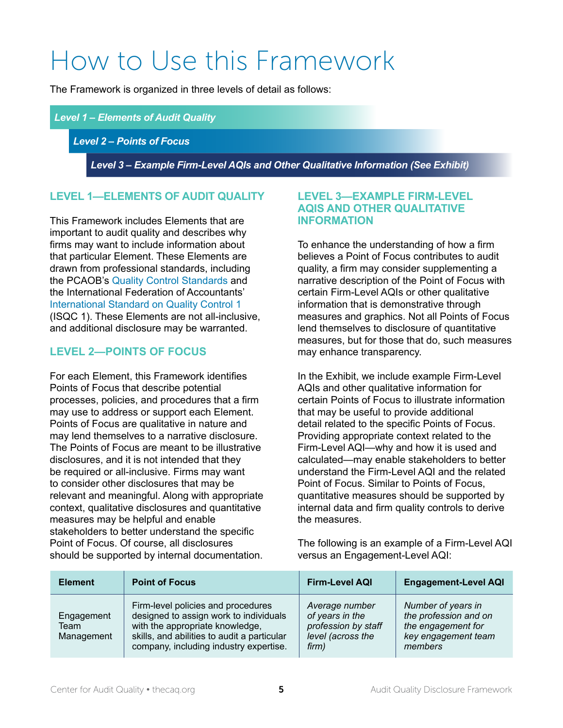# <span id="page-6-0"></span>How to Use this Framework

The Framework is organized in three levels of detail as follows:

*Level 1 – Elements of Audit Quality*

*Level 2 – Points of Focus*

*Level 3 – Example Firm-Level AQIs and Other Qualitative Information (See Exhibit)*

### **LEVEL 1—ELEMENTS OF AUDIT QUALITY**

This Framework includes Elements that are important to audit quality and describes why firms may want to include information about that particular Element. These Elements are drawn from professional standards, including the PCAOB's [Quality Control Standards](https://pcaobus.org/Standards/QC/Pages/default.aspx) and the International Federation of Accountants' [International Standard on Quality Control 1](http://www.ifac.org/system/files/downloads/a007-2010-iaasb-handbook-isqc-1.pdf) (ISQC 1). These Elements are not all-inclusive, and additional disclosure may be warranted.

### **LEVEL 2—POINTS OF FOCUS**

For each Element, this Framework identifies Points of Focus that describe potential processes, policies, and procedures that a firm may use to address or support each Element. Points of Focus are qualitative in nature and may lend themselves to a narrative disclosure. The Points of Focus are meant to be illustrative disclosures, and it is not intended that they be required or all-inclusive. Firms may want to consider other disclosures that may be relevant and meaningful. Along with appropriate context, qualitative disclosures and quantitative measures may be helpful and enable stakeholders to better understand the specific Point of Focus. Of course, all disclosures should be supported by internal documentation.

### **LEVEL 3—EXAMPLE FIRM-LEVEL AQIS AND OTHER QUALITATIVE INFORMATION**

To enhance the understanding of how a firm believes a Point of Focus contributes to audit quality, a firm may consider supplementing a narrative description of the Point of Focus with certain Firm-Level AQIs or other qualitative information that is demonstrative through measures and graphics. Not all Points of Focus lend themselves to disclosure of quantitative measures, but for those that do, such measures may enhance transparency.

In the Exhibit, we include example Firm-Level AQIs and other qualitative information for certain Points of Focus to illustrate information that may be useful to provide additional detail related to the specific Points of Focus. Providing appropriate context related to the Firm-Level AQI—why and how it is used and calculated—may enable stakeholders to better understand the Firm-Level AQI and the related Point of Focus. Similar to Points of Focus, quantitative measures should be supported by internal data and firm quality controls to derive the measures.

The following is an example of a Firm-Level AQI versus an Engagement-Level AQI:

| <b>Element</b>                   | <b>Point of Focus</b>                                                                                                                                                                                    | <b>Firm-Level AQI</b>                                                                  | <b>Engagement-Level AQI</b>                                                                         |
|----------------------------------|----------------------------------------------------------------------------------------------------------------------------------------------------------------------------------------------------------|----------------------------------------------------------------------------------------|-----------------------------------------------------------------------------------------------------|
| Engagement<br>Team<br>Management | Firm-level policies and procedures<br>designed to assign work to individuals<br>with the appropriate knowledge,<br>skills, and abilities to audit a particular<br>company, including industry expertise. | Average number<br>of years in the<br>profession by staff<br>level (across the<br>firm) | Number of years in<br>the profession and on<br>the engagement for<br>key engagement team<br>members |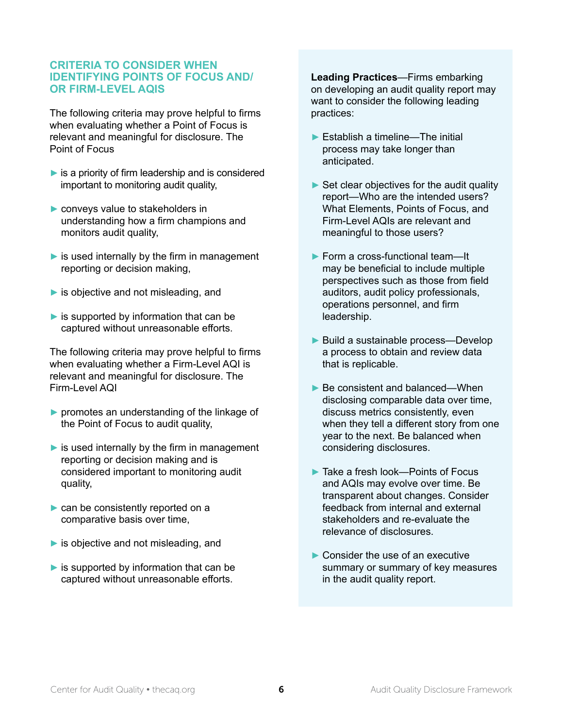### <span id="page-7-0"></span>**CRITERIA TO CONSIDER WHEN IDENTIFYING POINTS OF FOCUS AND/ OR FIRM-LEVEL AQIS**

The following criteria may prove helpful to firms when evaluating whether a Point of Focus is relevant and meaningful for disclosure. The Point of Focus

- $\blacktriangleright$  is a priority of firm leadership and is considered important to monitoring audit quality,
- ► conveys value to stakeholders in understanding how a firm champions and monitors audit quality,
- $\blacktriangleright$  is used internally by the firm in management reporting or decision making,
- $\blacktriangleright$  is objective and not misleading, and
- $\blacktriangleright$  is supported by information that can be captured without unreasonable efforts.

The following criteria may prove helpful to firms when evaluating whether a Firm-Level AQI is relevant and meaningful for disclosure. The Firm-Level AQI

- ► promotes an understanding of the linkage of the Point of Focus to audit quality,
- $\blacktriangleright$  is used internally by the firm in management reporting or decision making and is considered important to monitoring audit quality,
- $\blacktriangleright$  can be consistently reported on a comparative basis over time,
- $\blacktriangleright$  is objective and not misleading, and
- $\blacktriangleright$  is supported by information that can be captured without unreasonable efforts.

**Leading Practices**—Firms embarking on developing an audit quality report may want to consider the following leading practices:

- ► Establish a timeline—The initial process may take longer than anticipated.
- $\blacktriangleright$  Set clear objectives for the audit quality report—Who are the intended users? What Elements, Points of Focus, and Firm-Level AQIs are relevant and meaningful to those users?
- ► Form a cross-functional team—It may be beneficial to include multiple perspectives such as those from field auditors, audit policy professionals, operations personnel, and firm leadership.
- ► Build a sustainable process—Develop a process to obtain and review data that is replicable.
- ► Be consistent and balanced—When disclosing comparable data over time, discuss metrics consistently, even when they tell a different story from one year to the next. Be balanced when considering disclosures.
- ► Take a fresh look—Points of Focus and AQIs may evolve over time. Be transparent about changes. Consider feedback from internal and external stakeholders and re-evaluate the relevance of disclosures.
- $\blacktriangleright$  Consider the use of an executive summary or summary of key measures in the audit quality report.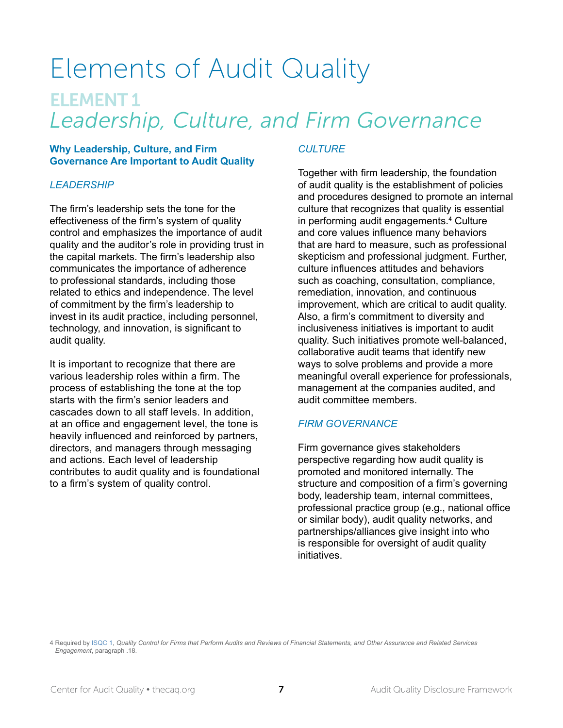# <span id="page-8-0"></span>Elements of Audit Quality

## ELEMENT 1 *Leadership, Culture, and Firm Governance*

### **Why Leadership, Culture, and Firm Governance Are Important to Audit Quality**

### *LEADERSHIP*

The firm's leadership sets the tone for the effectiveness of the firm's system of quality control and emphasizes the importance of audit quality and the auditor's role in providing trust in the capital markets. The firm's leadership also communicates the importance of adherence to professional standards, including those related to ethics and independence. The level of commitment by the firm's leadership to invest in its audit practice, including personnel, technology, and innovation, is significant to audit quality.

It is important to recognize that there are various leadership roles within a firm. The process of establishing the tone at the top starts with the firm's senior leaders and cascades down to all staff levels. In addition, at an office and engagement level, the tone is heavily influenced and reinforced by partners, directors, and managers through messaging and actions. Each level of leadership contributes to audit quality and is foundational to a firm's system of quality control.

### *CULTURE*

Together with firm leadership, the foundation of audit quality is the establishment of policies and procedures designed to promote an internal culture that recognizes that quality is essential in performing audit engagements.4 Culture and core values influence many behaviors that are hard to measure, such as professional skepticism and professional judgment. Further, culture influences attitudes and behaviors such as coaching, consultation, compliance, remediation, innovation, and continuous improvement, which are critical to audit quality. Also, a firm's commitment to diversity and inclusiveness initiatives is important to audit quality. Such initiatives promote well-balanced, collaborative audit teams that identify new ways to solve problems and provide a more meaningful overall experience for professionals, management at the companies audited, and audit committee members.

### *FIRM GOVERNANCE*

Firm governance gives stakeholders perspective regarding how audit quality is promoted and monitored internally. The structure and composition of a firm's governing body, leadership team, internal committees, professional practice group (e.g., national office or similar body), audit quality networks, and partnerships/alliances give insight into who is responsible for oversight of audit quality initiatives.

4 Required by [ISQC 1,](http://www.ifac.org/system/files/downloads/a007-2010-iaasb-handbook-isqc-1.pdf) *Quality Control for Firms that Perform Audits and Reviews of Financial Statements, and Other Assurance and Related Services Engagement*, paragraph .18.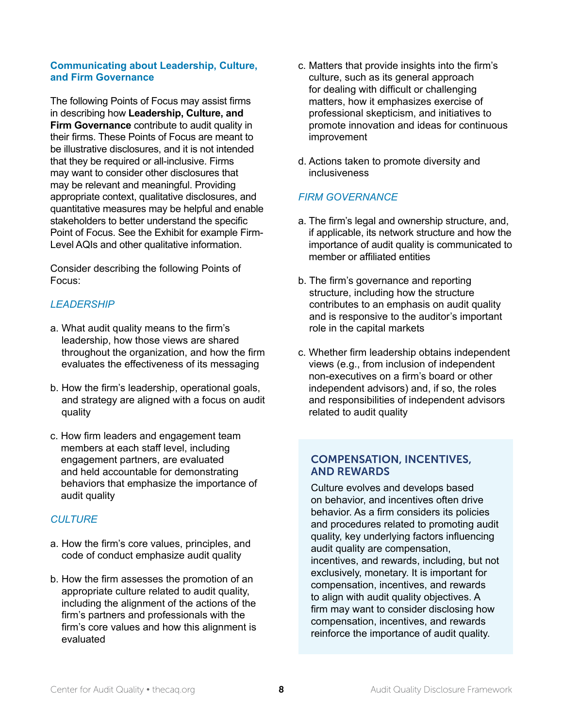### **Communicating about Leadership, Culture, and Firm Governance**

The following Points of Focus may assist firms in describing how **Leadership, Culture, and Firm Governance** contribute to audit quality in their firms. These Points of Focus are meant to be illustrative disclosures, and it is not intended that they be required or all-inclusive. Firms may want to consider other disclosures that may be relevant and meaningful. Providing appropriate context, qualitative disclosures, and quantitative measures may be helpful and enable stakeholders to better understand the specific Point of Focus. See the Exhibit for example Firm-Level AQIs and other qualitative information.

Consider describing the following Points of Focus:

### *LEADERSHIP*

- a. What audit quality means to the firm's leadership, how those views are shared throughout the organization, and how the firm evaluates the effectiveness of its messaging
- b. How the firm's leadership, operational goals, and strategy are aligned with a focus on audit quality
- c. How firm leaders and engagement team members at each staff level, including engagement partners, are evaluated and held accountable for demonstrating behaviors that emphasize the importance of audit quality

### *CULTURE*

- a. How the firm's core values, principles, and code of conduct emphasize audit quality
- b. How the firm assesses the promotion of an appropriate culture related to audit quality, including the alignment of the actions of the firm's partners and professionals with the firm's core values and how this alignment is evaluated
- c. Matters that provide insights into the firm's culture, such as its general approach for dealing with difficult or challenging matters, how it emphasizes exercise of professional skepticism, and initiatives to promote innovation and ideas for continuous improvement
- d. Actions taken to promote diversity and inclusiveness

### *FIRM GOVERNANCE*

- a. The firm's legal and ownership structure, and, if applicable, its network structure and how the importance of audit quality is communicated to member or affiliated entities
- b. The firm's governance and reporting structure, including how the structure contributes to an emphasis on audit quality and is responsive to the auditor's important role in the capital markets
- c. Whether firm leadership obtains independent views (e.g., from inclusion of independent non-executives on a firm's board or other independent advisors) and, if so, the roles and responsibilities of independent advisors related to audit quality

### COMPENSATION, INCENTIVES, AND REWARDS

Culture evolves and develops based on behavior, and incentives often drive behavior. As a firm considers its policies and procedures related to promoting audit quality, key underlying factors influencing audit quality are compensation, incentives, and rewards, including, but not exclusively, monetary. It is important for compensation, incentives, and rewards to align with audit quality objectives. A firm may want to consider disclosing how compensation, incentives, and rewards reinforce the importance of audit quality.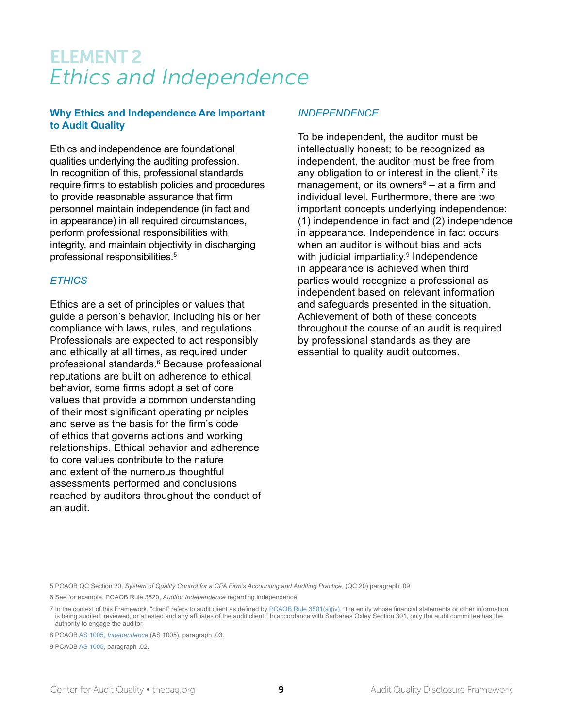### <span id="page-10-0"></span>ELEMENT 2 *Ethics and Independence*

### **Why Ethics and Independence Are Important to Audit Quality**

Ethics and independence are foundational qualities underlying the auditing profession. In recognition of this, professional standards require firms to establish policies and procedures to provide reasonable assurance that firm personnel maintain independence (in fact and in appearance) in all required circumstances, perform professional responsibilities with integrity, and maintain objectivity in discharging professional responsibilities.<sup>5</sup>

### *ETHICS*

Ethics are a set of principles or values that guide a person's behavior, including his or her compliance with laws, rules, and regulations. Professionals are expected to act responsibly and ethically at all times, as required under professional standards.6 Because professional reputations are built on adherence to ethical behavior, some firms adopt a set of core values that provide a common understanding of their most significant operating principles and serve as the basis for the firm's code of ethics that governs actions and working relationships. Ethical behavior and adherence to core values contribute to the nature and extent of the numerous thoughtful assessments performed and conclusions reached by auditors throughout the conduct of an audit.

#### *INDEPENDENCE*

To be independent, the auditor must be intellectually honest; to be recognized as independent, the auditor must be free from any obligation to or interest in the client,<sup>7</sup> its management, or its owners $8 -$  at a firm and individual level. Furthermore, there are two important concepts underlying independence: (1) independence in fact and (2) independence in appearance. Independence in fact occurs when an auditor is without bias and acts with judicial impartiality.<sup>9</sup> Independence in appearance is achieved when third parties would recognize a professional as independent based on relevant information and safeguards presented in the situation. Achievement of both of these concepts throughout the course of an audit is required by professional standards as they are essential to quality audit outcomes.

5 PCAOB QC Section 20, *System of Quality Control for a CPA Firm's Accounting and Auditing Practice*, (QC 20) paragraph .09.

6 See for example, PCAOB Rule 3520, *Auditor Independence* regarding independence.

7 In the context of this Framework, "client" refers to audit client as defined by [PCAOB Rule 3501\(a\)\(iv\),](https://pcaobus.org/Rules/Pages/Section_3.aspx#rule3501) "the entity whose financial statements or other information is being audited, reviewed, or attested and any affiliates of the audit client." In accordance with Sarbanes Oxley Section 301, only the audit committee has the authority to engage the auditor.

8 PCAOB AS 1005, *[Independence](https://pcaobus.org/Standards/Auditing/Pages/AS1005.aspx)* (AS 1005), paragraph .03.

9 PCAOB [AS 1005,](https://pcaobus.org/Standards/Auditing/Pages/AS1005.aspx) paragraph .02.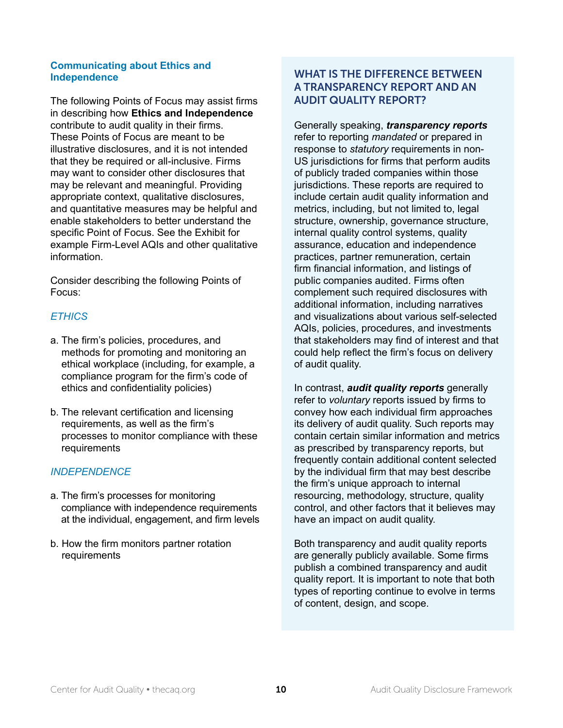#### **Communicating about Ethics and Independence**

The following Points of Focus may assist firms in describing how **Ethics and Independence** contribute to audit quality in their firms. These Points of Focus are meant to be illustrative disclosures, and it is not intended that they be required or all-inclusive. Firms may want to consider other disclosures that may be relevant and meaningful. Providing appropriate context, qualitative disclosures, and quantitative measures may be helpful and enable stakeholders to better understand the specific Point of Focus. See the Exhibit for example Firm-Level AQIs and other qualitative information.

Consider describing the following Points of Focus:

### *ETHICS*

- a. The firm's policies, procedures, and methods for promoting and monitoring an ethical workplace (including, for example, a compliance program for the firm's code of ethics and confidentiality policies)
- b. The relevant certification and licensing requirements, as well as the firm's processes to monitor compliance with these requirements

### *INDEPENDENCE*

- a. The firm's processes for monitoring compliance with independence requirements at the individual, engagement, and firm levels
- b. How the firm monitors partner rotation requirements

### WHAT IS THE DIFFERENCE BETWEEN A TRANSPARENCY REPORT AND AN AUDIT QUALITY REPORT?

Generally speaking, *transparency reports* refer to reporting *mandated* or prepared in response to *statutory* requirements in non-US jurisdictions for firms that perform audits of publicly traded companies within those jurisdictions. These reports are required to include certain audit quality information and metrics, including, but not limited to, legal structure, ownership, governance structure, internal quality control systems, quality assurance, education and independence practices, partner remuneration, certain firm financial information, and listings of public companies audited. Firms often complement such required disclosures with additional information, including narratives and visualizations about various self-selected AQIs, policies, procedures, and investments that stakeholders may find of interest and that could help reflect the firm's focus on delivery of audit quality.

In contrast, *audit quality reports* generally refer to *voluntary* reports issued by firms to convey how each individual firm approaches its delivery of audit quality. Such reports may contain certain similar information and metrics as prescribed by transparency reports, but frequently contain additional content selected by the individual firm that may best describe the firm's unique approach to internal resourcing, methodology, structure, quality control, and other factors that it believes may have an impact on audit quality.

Both transparency and audit quality reports are generally publicly available. Some firms publish a combined transparency and audit quality report. It is important to note that both types of reporting continue to evolve in terms of content, design, and scope.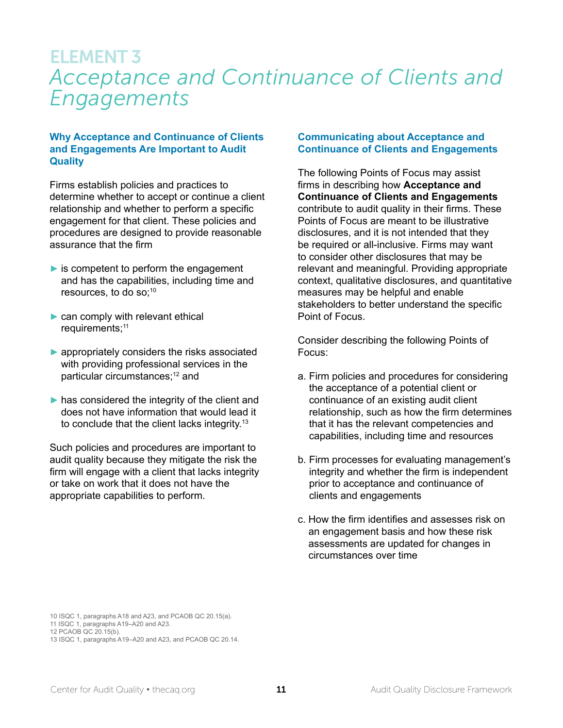### <span id="page-12-0"></span>ELEMENT 3 *Acceptance and Continuance of Clients and Engagements*

### **Why Acceptance and Continuance of Clients and Engagements Are Important to Audit Quality**

Firms establish policies and practices to determine whether to accept or continue a client relationship and whether to perform a specific engagement for that client. These policies and procedures are designed to provide reasonable assurance that the firm

- $\blacktriangleright$  is competent to perform the engagement and has the capabilities, including time and resources, to do so;<sup>10</sup>
- $\blacktriangleright$  can comply with relevant ethical requirements;<sup>11</sup>
- $\blacktriangleright$  appropriately considers the risks associated with providing professional services in the particular circumstances;<sup>12</sup> and
- $\blacktriangleright$  has considered the integrity of the client and does not have information that would lead it to conclude that the client lacks integrity.<sup>13</sup>

Such policies and procedures are important to audit quality because they mitigate the risk the firm will engage with a client that lacks integrity or take on work that it does not have the appropriate capabilities to perform.

#### **Communicating about Acceptance and Continuance of Clients and Engagements**

The following Points of Focus may assist firms in describing how **Acceptance and Continuance of Clients and Engagements** contribute to audit quality in their firms. These Points of Focus are meant to be illustrative disclosures, and it is not intended that they be required or all-inclusive. Firms may want to consider other disclosures that may be relevant and meaningful. Providing appropriate context, qualitative disclosures, and quantitative measures may be helpful and enable stakeholders to better understand the specific Point of Focus.

Consider describing the following Points of Focus:

- a. Firm policies and procedures for considering the acceptance of a potential client or continuance of an existing audit client relationship, such as how the firm determines that it has the relevant competencies and capabilities, including time and resources
- b. Firm processes for evaluating management's integrity and whether the firm is independent prior to acceptance and continuance of clients and engagements
- c. How the firm identifies and assesses risk on an engagement basis and how these risk assessments are updated for changes in circumstances over time

<sup>10</sup> ISQC 1, paragraphs A18 and A23, and PCAOB QC 20.15(a).

<sup>11</sup> ISQC 1, paragraphs A19–A20 and A23.

<sup>12</sup> PCAOB QC 20.15(b).

<sup>13</sup> ISQC 1, paragraphs A19–A20 and A23, and PCAOB QC 20.14.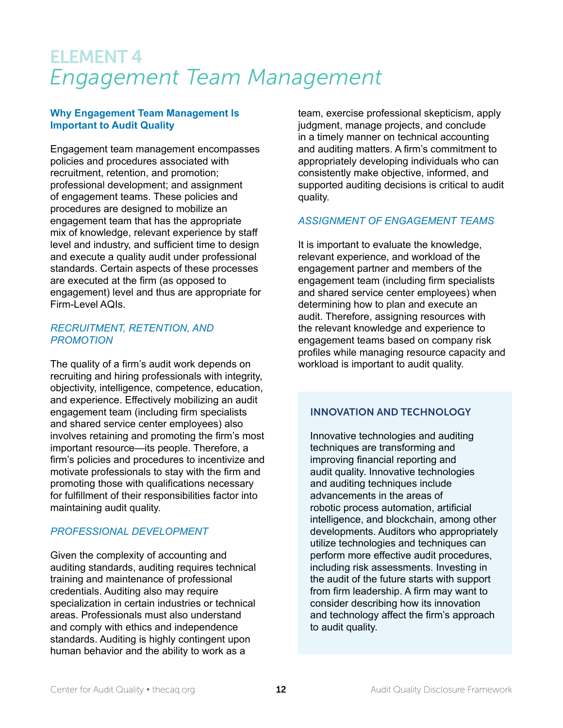### <span id="page-13-0"></span>ELEMENT 4 *Engagement Team Management*

### **Why Engagement Team Management Is Important to Audit Quality**

Engagement team management encompasses policies and procedures associated with recruitment, retention, and promotion; professional development; and assignment of engagement teams. These policies and procedures are designed to mobilize an engagement team that has the appropriate mix of knowledge, relevant experience by staff level and industry, and sufficient time to design and execute a quality audit under professional standards. Certain aspects of these processes are executed at the firm (as opposed to engagement) level and thus are appropriate for Firm-Level AQIs.

### *RECRUITMENT, RETENTION, AND PROMOTION*

The quality of a firm's audit work depends on recruiting and hiring professionals with integrity, objectivity, intelligence, competence, education, and experience. Effectively mobilizing an audit engagement team (including firm specialists and shared service center employees) also involves retaining and promoting the firm's most important resource—its people. Therefore, a firm's policies and procedures to incentivize and motivate professionals to stay with the firm and promoting those with qualifications necessary for fulfillment of their responsibilities factor into maintaining audit quality.

### *PROFESSIONAL DEVELOPMENT*

Given the complexity of accounting and auditing standards, auditing requires technical training and maintenance of professional credentials. Auditing also may require specialization in certain industries or technical areas. Professionals must also understand and comply with ethics and independence standards. Auditing is highly contingent upon human behavior and the ability to work as a

team, exercise professional skepticism, apply judgment, manage projects, and conclude in a timely manner on technical accounting and auditing matters. A firm's commitment to appropriately developing individuals who can consistently make objective, informed, and supported auditing decisions is critical to audit quality.

### *ASSIGNMENT OF ENGAGEMENT TEAMS*

It is important to evaluate the knowledge, relevant experience, and workload of the engagement partner and members of the engagement team (including firm specialists and shared service center employees) when determining how to plan and execute an audit. Therefore, assigning resources with the relevant knowledge and experience to engagement teams based on company risk profiles while managing resource capacity and workload is important to audit quality.

### INNOVATION AND TECHNOLOGY

Innovative technologies and auditing techniques are transforming and improving financial reporting and audit quality. Innovative technologies and auditing techniques include advancements in the areas of robotic process automation, artificial intelligence, and blockchain, among other developments. Auditors who appropriately utilize technologies and techniques can perform more effective audit procedures, including risk assessments. Investing in the audit of the future starts with support from firm leadership. A firm may want to consider describing how its innovation and technology affect the firm's approach to audit quality.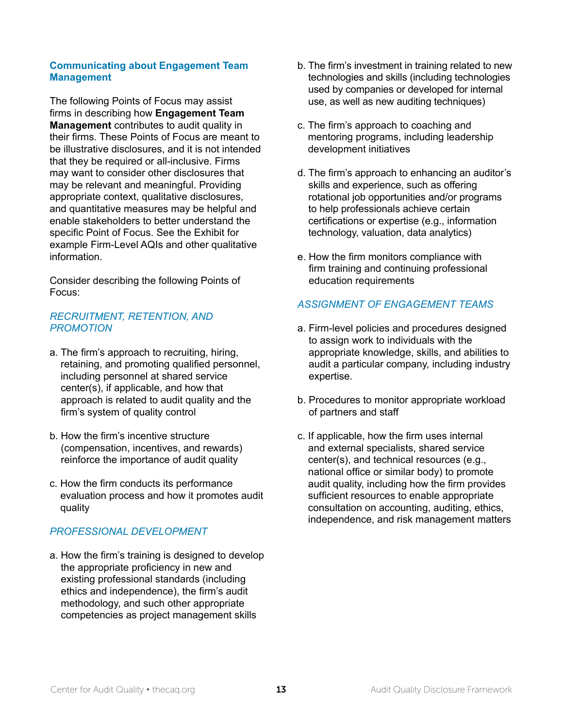### **Communicating about Engagement Team Management**

The following Points of Focus may assist firms in describing how **Engagement Team Management** contributes to audit quality in their firms. These Points of Focus are meant to be illustrative disclosures, and it is not intended that they be required or all-inclusive. Firms may want to consider other disclosures that may be relevant and meaningful. Providing appropriate context, qualitative disclosures, and quantitative measures may be helpful and enable stakeholders to better understand the specific Point of Focus. See the Exhibit for example Firm-Level AQIs and other qualitative information.

Consider describing the following Points of Focus:

### *RECRUITMENT, RETENTION, AND PROMOTION*

- a. The firm's approach to recruiting, hiring, retaining, and promoting qualified personnel, including personnel at shared service center(s), if applicable, and how that approach is related to audit quality and the firm's system of quality control
- b. How the firm's incentive structure (compensation, incentives, and rewards) reinforce the importance of audit quality
- c. How the firm conducts its performance evaluation process and how it promotes audit quality

### *PROFESSIONAL DEVELOPMENT*

a. How the firm's training is designed to develop the appropriate proficiency in new and existing professional standards (including ethics and independence), the firm's audit methodology, and such other appropriate competencies as project management skills

- b. The firm's investment in training related to new technologies and skills (including technologies used by companies or developed for internal use, as well as new auditing techniques)
- c. The firm's approach to coaching and mentoring programs, including leadership development initiatives
- d. The firm's approach to enhancing an auditor's skills and experience, such as offering rotational job opportunities and/or programs to help professionals achieve certain certifications or expertise (e.g., information technology, valuation, data analytics)
- e. How the firm monitors compliance with firm training and continuing professional education requirements

### *ASSIGNMENT OF ENGAGEMENT TEAMS*

- a. Firm-level policies and procedures designed to assign work to individuals with the appropriate knowledge, skills, and abilities to audit a particular company, including industry expertise.
- b. Procedures to monitor appropriate workload of partners and staff
- c. If applicable, how the firm uses internal and external specialists, shared service center(s), and technical resources (e.g., national office or similar body) to promote audit quality, including how the firm provides sufficient resources to enable appropriate consultation on accounting, auditing, ethics, independence, and risk management matters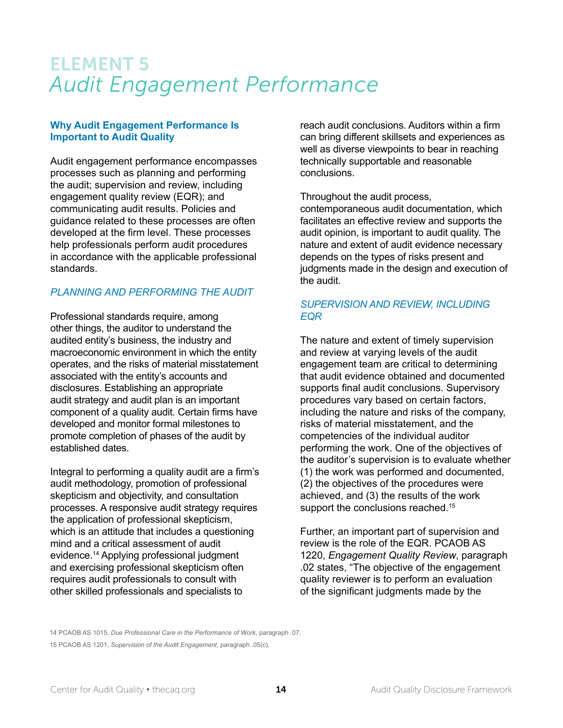### <span id="page-15-0"></span>ELEMENT 5 *Audit Engagement Performance*

### **Why Audit Engagement Performance Is Important to Audit Quality**

Audit engagement performance encompasses processes such as planning and performing the audit; supervision and review, including engagement quality review (EQR); and communicating audit results. Policies and guidance related to these processes are often developed at the firm level. These processes help professionals perform audit procedures in accordance with the applicable professional standards.

### *PLANNING AND PERFORMING THE AUDIT*

Professional standards require, among other things, the auditor to understand the audited entity's business, the industry and macroeconomic environment in which the entity operates, and the risks of material misstatement associated with the entity's accounts and disclosures. Establishing an appropriate audit strategy and audit plan is an important component of a quality audit. Certain firms have developed and monitor formal milestones to promote completion of phases of the audit by established dates.

Integral to performing a quality audit are a firm's audit methodology, promotion of professional skepticism and objectivity, and consultation processes. A responsive audit strategy requires the application of professional skepticism, which is an attitude that includes a questioning mind and a critical assessment of audit evidence.14 Applying professional judgment and exercising professional skepticism often requires audit professionals to consult with other skilled professionals and specialists to

reach audit conclusions. Auditors within a firm can bring different skillsets and experiences as well as diverse viewpoints to bear in reaching technically supportable and reasonable conclusions.

### Throughout the audit process,

contemporaneous audit documentation, which facilitates an effective review and supports the audit opinion, is important to audit quality. The nature and extent of audit evidence necessary depends on the types of risks present and judgments made in the design and execution of the audit.

### *SUPERVISION AND REVIEW, INCLUDING EQR*

The nature and extent of timely supervision and review at varying levels of the audit engagement team are critical to determining that audit evidence obtained and documented supports final audit conclusions. Supervisory procedures vary based on certain factors, including the nature and risks of the company, risks of material misstatement, and the competencies of the individual auditor performing the work. One of the objectives of the auditor's supervision is to evaluate whether (1) the work was performed and documented, (2) the objectives of the procedures were achieved, and (3) the results of the work support the conclusions reached.<sup>15</sup>

Further, an important part of supervision and review is the role of the EQR. PCAOB AS 1220, *Engagement Quality Review*, paragraph .02 states, "The objective of the engagement quality reviewer is to perform an evaluation of the significant judgments made by the

14 PCAOB AS 1015, *Due Professional Care in the Performance of Work*, paragraph .07.

15 PCAOB AS 1201, *Supervision of the Audit Engagement*, paragraph .05(c).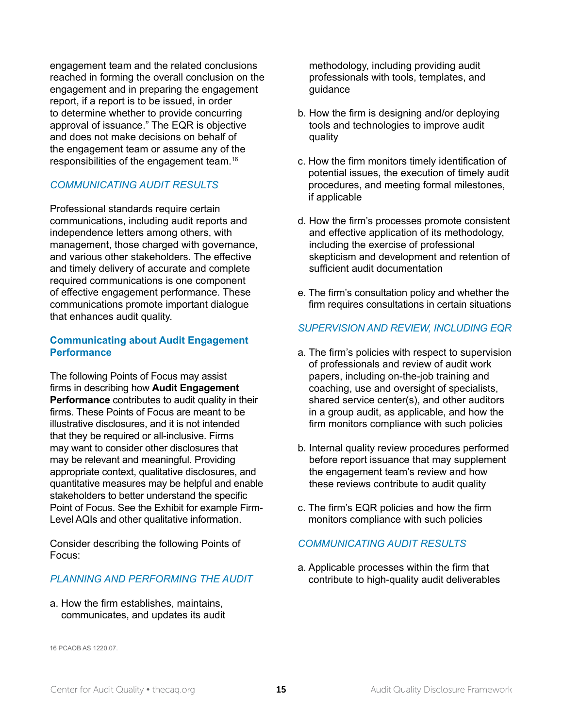engagement team and the related conclusions reached in forming the overall conclusion on the engagement and in preparing the engagement report, if a report is to be issued, in order to determine whether to provide concurring approval of issuance." The EQR is objective and does not make decisions on behalf of the engagement team or assume any of the responsibilities of the engagement team.16

### *COMMUNICATING AUDIT RESULTS*

Professional standards require certain communications, including audit reports and independence letters among others, with management, those charged with governance, and various other stakeholders. The effective and timely delivery of accurate and complete required communications is one component of effective engagement performance. These communications promote important dialogue that enhances audit quality.

### **Communicating about Audit Engagement Performance**

The following Points of Focus may assist firms in describing how **Audit Engagement Performance** contributes to audit quality in their firms. These Points of Focus are meant to be illustrative disclosures, and it is not intended that they be required or all-inclusive. Firms may want to consider other disclosures that may be relevant and meaningful. Providing appropriate context, qualitative disclosures, and quantitative measures may be helpful and enable stakeholders to better understand the specific Point of Focus. See the Exhibit for example Firm-Level AQIs and other qualitative information.

Consider describing the following Points of Focus:

#### *PLANNING AND PERFORMING THE AUDIT*

a. How the firm establishes, maintains, communicates, and updates its audit

methodology, including providing audit professionals with tools, templates, and guidance

- b. How the firm is designing and/or deploying tools and technologies to improve audit quality
- c. How the firm monitors timely identification of potential issues, the execution of timely audit procedures, and meeting formal milestones, if applicable
- d. How the firm's processes promote consistent and effective application of its methodology, including the exercise of professional skepticism and development and retention of sufficient audit documentation
- e. The firm's consultation policy and whether the firm requires consultations in certain situations

### *SUPERVISION AND REVIEW, INCLUDING EQR*

- a. The firm's policies with respect to supervision of professionals and review of audit work papers, including on-the-job training and coaching, use and oversight of specialists, shared service center(s), and other auditors in a group audit, as applicable, and how the firm monitors compliance with such policies
- b. Internal quality review procedures performed before report issuance that may supplement the engagement team's review and how these reviews contribute to audit quality
- c. The firm's EQR policies and how the firm monitors compliance with such policies

### *COMMUNICATING AUDIT RESULTS*

a. Applicable processes within the firm that contribute to high-quality audit deliverables

16 PCAOB AS 1220.07.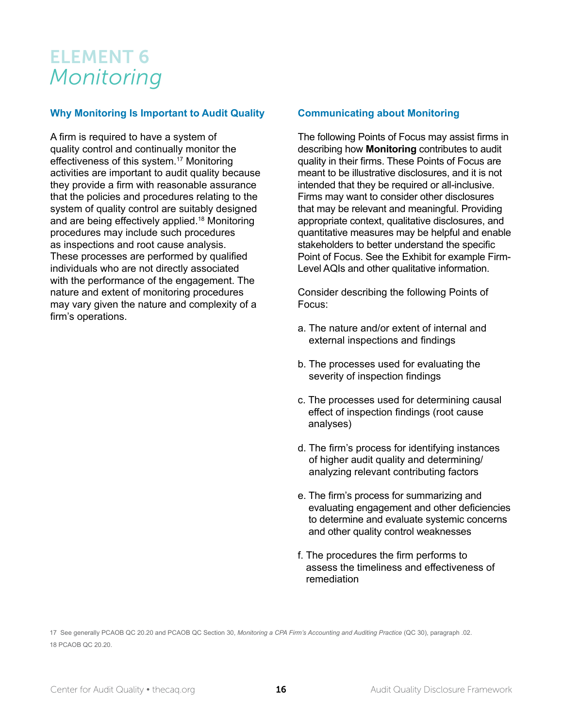### <span id="page-17-0"></span>ELEMENT 6 *Monitoring*

### **Why Monitoring Is Important to Audit Quality**

A firm is required to have a system of quality control and continually monitor the effectiveness of this system.<sup>17</sup> Monitoring activities are important to audit quality because they provide a firm with reasonable assurance that the policies and procedures relating to the system of quality control are suitably designed and are being effectively applied.<sup>18</sup> Monitoring procedures may include such procedures as inspections and root cause analysis. These processes are performed by qualified individuals who are not directly associated with the performance of the engagement. The nature and extent of monitoring procedures may vary given the nature and complexity of a firm's operations.

### **Communicating about Monitoring**

The following Points of Focus may assist firms in describing how **Monitoring** contributes to audit quality in their firms. These Points of Focus are meant to be illustrative disclosures, and it is not intended that they be required or all-inclusive. Firms may want to consider other disclosures that may be relevant and meaningful. Providing appropriate context, qualitative disclosures, and quantitative measures may be helpful and enable stakeholders to better understand the specific Point of Focus. See the Exhibit for example Firm-Level AQIs and other qualitative information.

Consider describing the following Points of Focus:

- a. The nature and/or extent of internal and external inspections and findings
- b. The processes used for evaluating the severity of inspection findings
- c. The processes used for determining causal effect of inspection findings (root cause analyses)
- d. The firm's process for identifying instances of higher audit quality and determining/ analyzing relevant contributing factors
- e. The firm's process for summarizing and evaluating engagement and other deficiencies to determine and evaluate systemic concerns and other quality control weaknesses
- f. The procedures the firm performs to assess the timeliness and effectiveness of remediation

17 See generally PCAOB QC 20.20 and PCAOB QC Section 30, *Monitoring a CPA Firm's Accounting and Auditing Practice* (QC 30), paragraph .02. 18 PCAOB QC 20.20.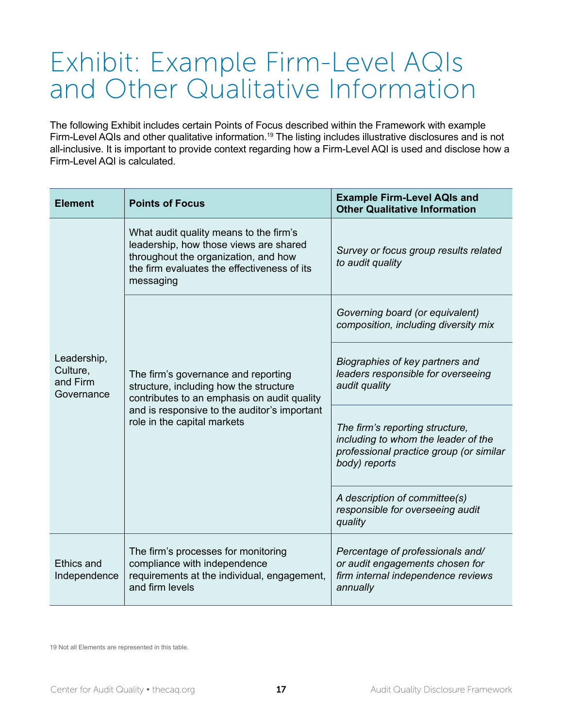## <span id="page-18-0"></span>Exhibit: Example Firm-Level AQIs and Other Qualitative Information

The following Exhibit includes certain Points of Focus described within the Framework with example Firm-Level AQIs and other qualitative information.<sup>19</sup> The listing includes illustrative disclosures and is not all-inclusive. It is important to provide context regarding how a Firm-Level AQI is used and disclose how a Firm-Level AQI is calculated.

| <b>Element</b>                                    | <b>Points of Focus</b>                                                                                                                                                                                      | <b>Example Firm-Level AQIs and</b><br><b>Other Qualitative Information</b>                                                         |
|---------------------------------------------------|-------------------------------------------------------------------------------------------------------------------------------------------------------------------------------------------------------------|------------------------------------------------------------------------------------------------------------------------------------|
| Leadership,<br>Culture,<br>and Firm<br>Governance | What audit quality means to the firm's<br>leadership, how those views are shared<br>throughout the organization, and how<br>the firm evaluates the effectiveness of its<br>messaging                        | Survey or focus group results related<br>to audit quality                                                                          |
|                                                   | The firm's governance and reporting<br>structure, including how the structure<br>contributes to an emphasis on audit quality<br>and is responsive to the auditor's important<br>role in the capital markets | Governing board (or equivalent)<br>composition, including diversity mix                                                            |
|                                                   |                                                                                                                                                                                                             | Biographies of key partners and<br>leaders responsible for overseeing<br>audit quality                                             |
|                                                   |                                                                                                                                                                                                             | The firm's reporting structure,<br>including to whom the leader of the<br>professional practice group (or similar<br>body) reports |
|                                                   |                                                                                                                                                                                                             | A description of committee(s)<br>responsible for overseeing audit<br>quality                                                       |
| Ethics and<br>Independence                        | The firm's processes for monitoring<br>compliance with independence<br>requirements at the individual, engagement,<br>and firm levels                                                                       | Percentage of professionals and/<br>or audit engagements chosen for<br>firm internal independence reviews<br>annually              |

19 Not all Elements are represented in this table.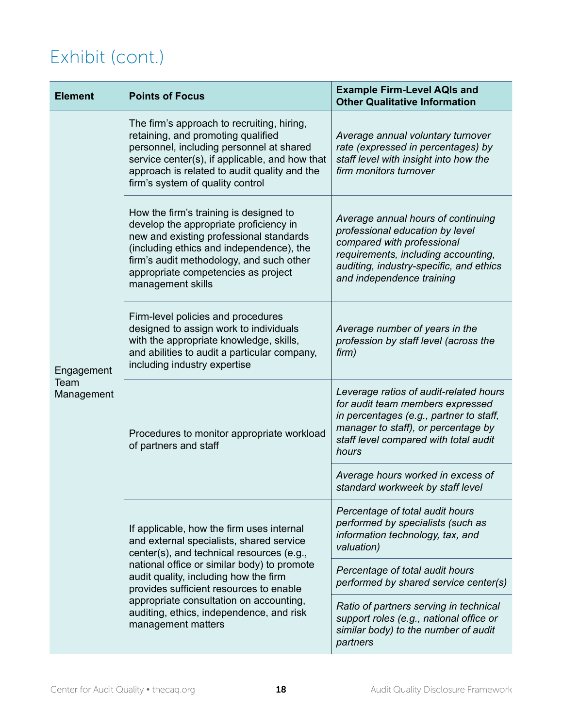## Exhibit (cont.)

| <b>Element</b>                   | <b>Points of Focus</b>                                                                                                                                                                                                                                                          | <b>Example Firm-Level AQIs and</b><br><b>Other Qualitative Information</b>                                                                                                                                         |
|----------------------------------|---------------------------------------------------------------------------------------------------------------------------------------------------------------------------------------------------------------------------------------------------------------------------------|--------------------------------------------------------------------------------------------------------------------------------------------------------------------------------------------------------------------|
| Engagement<br>Team<br>Management | The firm's approach to recruiting, hiring,<br>retaining, and promoting qualified<br>personnel, including personnel at shared<br>service center(s), if applicable, and how that<br>approach is related to audit quality and the<br>firm's system of quality control              | Average annual voluntary turnover<br>rate (expressed in percentages) by<br>staff level with insight into how the<br>firm monitors turnover                                                                         |
|                                  | How the firm's training is designed to<br>develop the appropriate proficiency in<br>new and existing professional standards<br>(including ethics and independence), the<br>firm's audit methodology, and such other<br>appropriate competencies as project<br>management skills | Average annual hours of continuing<br>professional education by level<br>compared with professional<br>requirements, including accounting,<br>auditing, industry-specific, and ethics<br>and independence training |
|                                  | Firm-level policies and procedures<br>designed to assign work to individuals<br>with the appropriate knowledge, skills,<br>and abilities to audit a particular company,<br>including industry expertise                                                                         | Average number of years in the<br>profession by staff level (across the<br>firm)                                                                                                                                   |
|                                  | Procedures to monitor appropriate workload<br>of partners and staff                                                                                                                                                                                                             | Leverage ratios of audit-related hours<br>for audit team members expressed<br>in percentages (e.g., partner to staff,<br>manager to staff), or percentage by<br>staff level compared with total audit<br>hours     |
|                                  |                                                                                                                                                                                                                                                                                 | Average hours worked in excess of<br>standard workweek by staff level                                                                                                                                              |
|                                  | If applicable, how the firm uses internal<br>and external specialists, shared service<br>center(s), and technical resources (e.g.,<br>national office or similar body) to promote<br>audit quality, including how the firm<br>provides sufficient resources to enable           | Percentage of total audit hours<br>performed by specialists (such as<br>information technology, tax, and<br>valuation)                                                                                             |
|                                  |                                                                                                                                                                                                                                                                                 | Percentage of total audit hours<br>performed by shared service center(s)                                                                                                                                           |
|                                  | appropriate consultation on accounting,<br>auditing, ethics, independence, and risk<br>management matters                                                                                                                                                                       | Ratio of partners serving in technical<br>support roles (e.g., national office or<br>similar body) to the number of audit<br>partners                                                                              |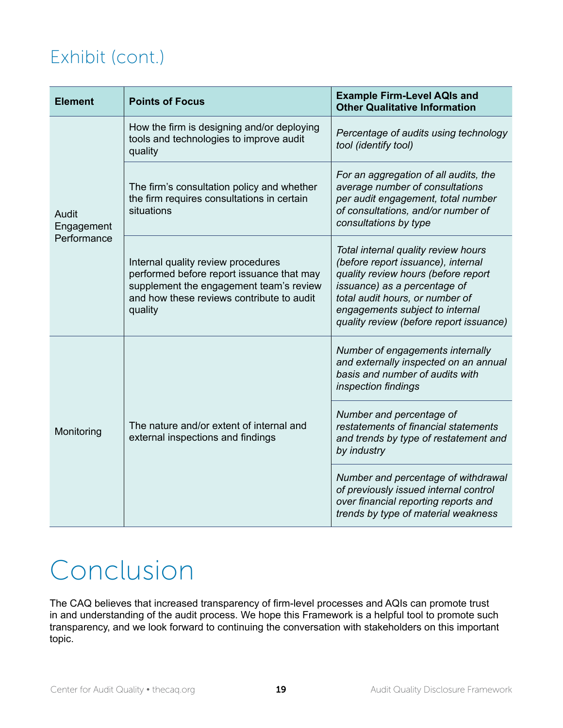## <span id="page-20-0"></span>Exhibit (cont.)

| <b>Element</b>                     | <b>Points of Focus</b>                                                                                                                                                             | <b>Example Firm-Level AQIs and</b><br><b>Other Qualitative Information</b>                                                                                                                                                                                        |
|------------------------------------|------------------------------------------------------------------------------------------------------------------------------------------------------------------------------------|-------------------------------------------------------------------------------------------------------------------------------------------------------------------------------------------------------------------------------------------------------------------|
| Audit<br>Engagement<br>Performance | How the firm is designing and/or deploying<br>tools and technologies to improve audit<br>quality                                                                                   | Percentage of audits using technology<br>tool (identify tool)                                                                                                                                                                                                     |
|                                    | The firm's consultation policy and whether<br>the firm requires consultations in certain<br>situations                                                                             | For an aggregation of all audits, the<br>average number of consultations<br>per audit engagement, total number<br>of consultations, and/or number of<br>consultations by type                                                                                     |
|                                    | Internal quality review procedures<br>performed before report issuance that may<br>supplement the engagement team's review<br>and how these reviews contribute to audit<br>quality | Total internal quality review hours<br>(before report issuance), internal<br>quality review hours (before report<br>issuance) as a percentage of<br>total audit hours, or number of<br>engagements subject to internal<br>quality review (before report issuance) |
| Monitoring                         | The nature and/or extent of internal and<br>external inspections and findings                                                                                                      | Number of engagements internally<br>and externally inspected on an annual<br>basis and number of audits with<br>inspection findings                                                                                                                               |
|                                    |                                                                                                                                                                                    | Number and percentage of<br>restatements of financial statements<br>and trends by type of restatement and<br>by industry                                                                                                                                          |
|                                    |                                                                                                                                                                                    | Number and percentage of withdrawal<br>of previously issued internal control<br>over financial reporting reports and<br>trends by type of material weakness                                                                                                       |

## Conclusion

The CAQ believes that increased transparency of firm-level processes and AQIs can promote trust in and understanding of the audit process. We hope this Framework is a helpful tool to promote such transparency, and we look forward to continuing the conversation with stakeholders on this important topic.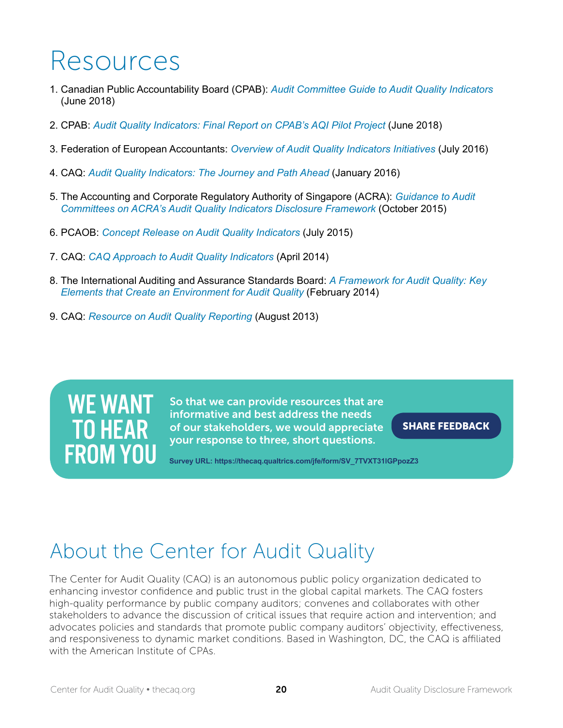## <span id="page-21-0"></span>Resources

- 1. Canadian Public Accountability Board (CPAB): *[Audit Committee Guide to Audit Quality Indicators](https://www.cpacanada.ca/en/business-and-accounting-resources/audit-and-assurance/enhancing-audit-quality/publications/guide-to-audit-quality-indicators)* (June 2018)
- 2. CPAB: *[Audit Quality Indicators: Final Report on CPAB's AQI Pilot Project](http://cpab-ccrc.ca/Documents/Topics/Audit Quality Indicators/AQI Final Report EN.pdf)* (June 2018)
- 3. Federation of European Accountants: *[Overview of Audit Quality Indicators Initiatives](https://www.accountancyeurope.eu/wp-content/uploads/1607_Update_of_Overview_of_AQIs.pdf)* (July 2016)
- 4. CAQ: *[Audit Quality Indicators: The Journey and Path Ahead](http://www.thecaq.org/audit-quality-indicators-journey-and-path-ahead)* (January 2016)
- 5. The Accounting and Corporate Regulatory Authority of Singapore (ACRA): *[Guidance to Audit](https://www.acra.gov.sg/uploadedFiles/Content/Publications/Guides/AQI_Guidance to AC online_FINAL.PDF)  [Committees on ACRA's Audit Quality Indicators Disclosure Framework](https://www.acra.gov.sg/uploadedFiles/Content/Publications/Guides/AQI_Guidance to AC online_FINAL.PDF)* (October 2015)
- 6. PCAOB: *[Concept Release on Audit Quality Indicators](https://pcaobus.org/Rulemaking/Docket 041/Release_2015_005.pdf)* (July 2015)
- 7. CAQ: *[CAQ Approach to Audit Quality Indicators](https://www.thecaq.org/caq-approach-audit-quality-indicators)* (April 2014)
- 8. The International Auditing and Assurance Standards Board: *[A Framework for Audit Quality: Key](https://www.ifac.org/publications-resources/framework-audit-quality-key-elements-create-environment-audit-quality)  [Elements that Create an Environment for Audit Quality](https://www.ifac.org/publications-resources/framework-audit-quality-key-elements-create-environment-audit-quality)* (February 2014)
- 9. CAQ: *[Resource on Audit Quality Reporting](https://www.thecaq.org/resource-audit-quality-reporting)* (August 2013)

WE WANT TO HEAR FROM YOU

So that we can provide resources that are informative and best address the needs of our stakeholders, we would appreciate your response to three, short questions.

[SHARE FEEDBACK](https://thecaq.qualtrics.com/jfe/form/SV_7TVXT31lGPpozZ3)

**Survey URL: [https://thecaq.qualtrics.com/jfe/form/SV\\_7TVXT31lGPpozZ3](https://thecaq.qualtrics.com/jfe/form/SV_7TVXT31lGPpozZ3)**

## About the Center for Audit Quality

The Center for Audit Quality (CAQ) is an autonomous public policy organization dedicated to enhancing investor confidence and public trust in the global capital markets. The CAQ fosters high-quality performance by public company auditors; convenes and collaborates with other stakeholders to advance the discussion of critical issues that require action and intervention; and advocates policies and standards that promote public company auditors' objectivity, effectiveness, and responsiveness to dynamic market conditions. Based in Washington, DC, the CAQ is affiliated with the American Institute of CPAs.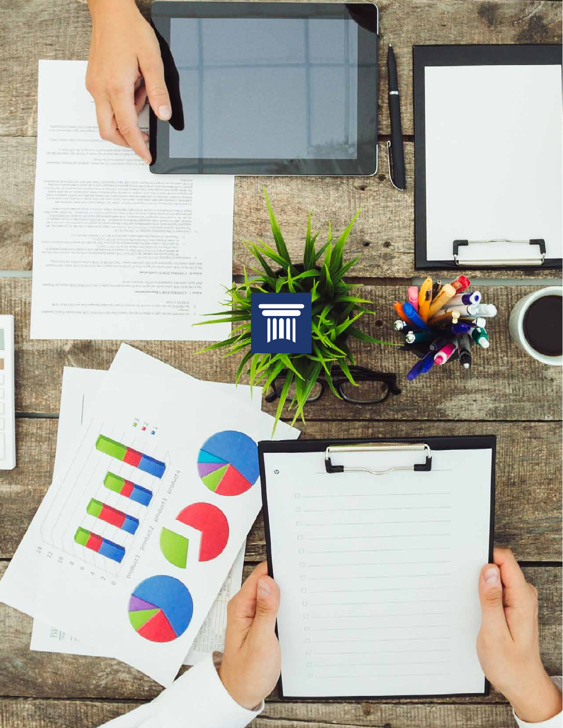$\frac{\partial \phi}{\partial \alpha} \left| \vec{r} \right|_{\alpha = 1}$ 

 $\circ$